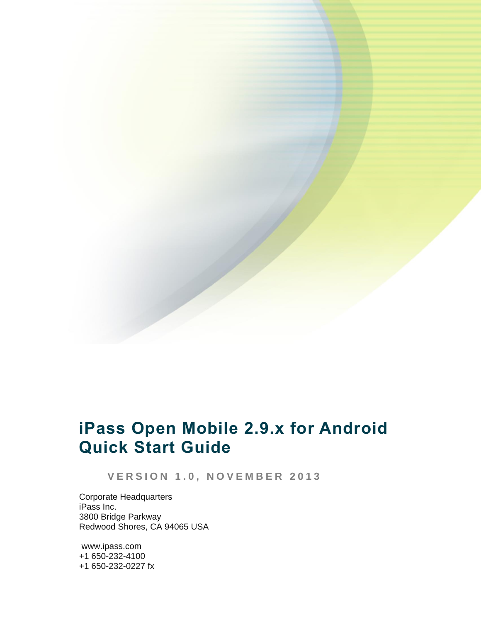# **iPass Open Mobile 2.9.x for Android Quick Start Guide**

**V E R S I O N 1 . 0 , N O V E M B E R 2 0 1 3**

Corporate Headquarters iPass Inc. 3800 Bridge Parkway Redwood Shores, CA 94065 USA

www.ipass.com +1 650-232-4100 +1 650-232-0227 fx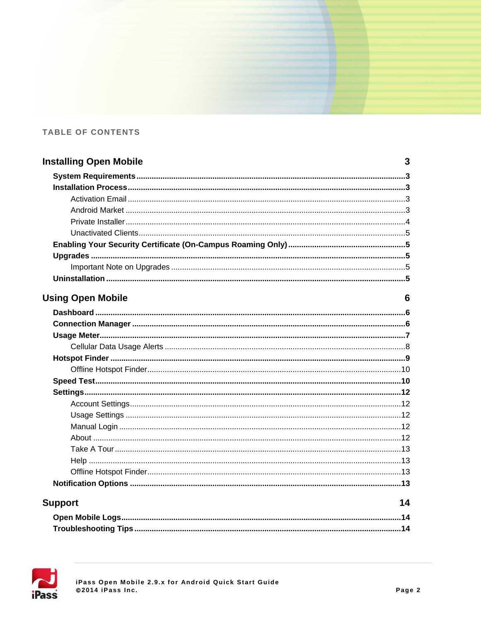### TABLE OF CONTENTS

| <b>Installing Open Mobile</b> | 3  |
|-------------------------------|----|
|                               |    |
|                               |    |
|                               |    |
|                               |    |
|                               |    |
|                               |    |
|                               |    |
|                               |    |
|                               |    |
|                               |    |
| <b>Using Open Mobile</b>      | 6  |
|                               |    |
|                               |    |
|                               |    |
|                               |    |
|                               |    |
|                               |    |
|                               |    |
|                               |    |
|                               |    |
|                               |    |
|                               |    |
|                               |    |
|                               |    |
|                               |    |
|                               |    |
|                               |    |
| <b>Support</b>                | 14 |
|                               |    |
|                               |    |

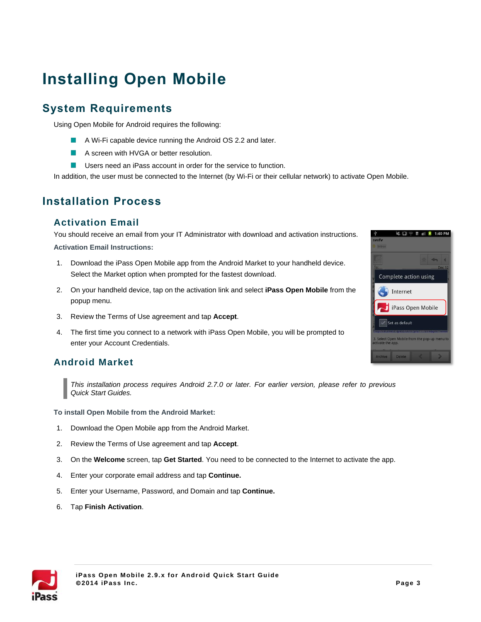# **Installing Open Mobile**

# **System Requirements**

Using Open Mobile for Android requires the following:

- $\mathcal{L}_{\mathcal{A}}$ A Wi-Fi capable device running the Android OS 2.2 and later.
- A screen with HVGA or better resolution. m.
- m. Users need an iPass account in order for the service to function.

In addition, the user must be connected to the Internet (by Wi-Fi or their cellular network) to activate Open Mobile.

## **Installation Process**

#### **Activation Email**

You should receive an email from your IT Administrator with download and activation instructions. **Activation Email Instructions:**

- 1. Download the iPass Open Mobile app from the Android Market to your handheld device. Select the Market option when prompted for the fastest download.
- 2. On your handheld device, tap on the activation link and select **iPass Open Mobile** from the popup menu.
- 3. Review the Terms of Use agreement and tap **Accept**.
- 4. The first time you connect to a network with iPass Open Mobile, you will be prompted to enter your Account Credentials.

### **Android Market**

*This installation process requires Android 2.7.0 or later. For earlier version, please refer to previous Quick Start Guides.*

**To install Open Mobile from the Android Market:**

- 1. Download the Open Mobile app from the Android Market.
- 2. Review the Terms of Use agreement and tap **Accept**.
- 3. On the **Welcome** screen, tap **Get Started**. You need to be connected to the Internet to activate the app.
- 4. Enter your corporate email address and tap **Continue.**
- 5. Enter your Username, Password, and Domain and tap **Continue.**
- 6. Tap **Finish Activation**.



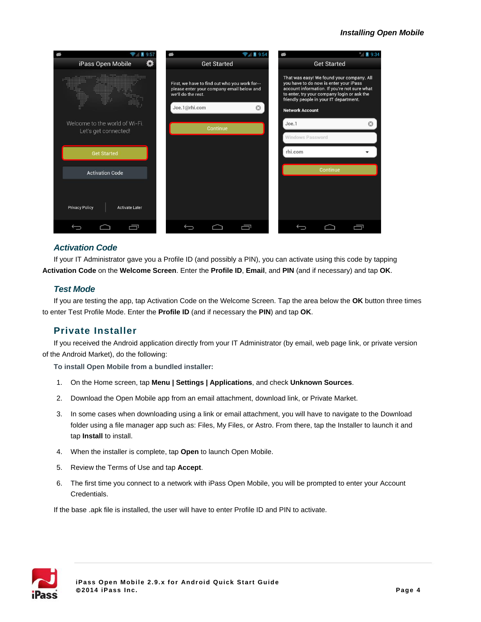

#### *Activation Code*

If your IT Administrator gave you a Profile ID (and possibly a PIN), you can activate using this code by tapping **Activation Code** on the **Welcome Screen**. Enter the **Profile ID**, **Email**, and **PIN** (and if necessary) and tap **OK**.

#### *Test Mode*

If you are testing the app, tap Activation Code on the Welcome Screen. Tap the area below the **OK** button three times to enter Test Profile Mode. Enter the **Profile ID** (and if necessary the **PIN**) and tap **OK**.

#### **Private Installer**

If you received the Android application directly from your IT Administrator (by email, web page link, or private version of the Android Market), do the following:

**To install Open Mobile from a bundled installer:**

- 1. On the Home screen, tap **Menu | Settings | Applications**, and check **Unknown Sources**.
- 2. Download the Open Mobile app from an email attachment, download link, or Private Market.
- 3. In some cases when downloading using a link or email attachment, you will have to navigate to the Download folder using a file manager app such as: Files, My Files, or Astro. From there, tap the Installer to launch it and tap **Install** to install.
- 4. When the installer is complete, tap **Open** to launch Open Mobile.
- 5. Review the Terms of Use and tap **Accept**.
- 6. The first time you connect to a network with iPass Open Mobile, you will be prompted to enter your Account Credentials.

If the base .apk file is installed, the user will have to enter Profile ID and PIN to activate.

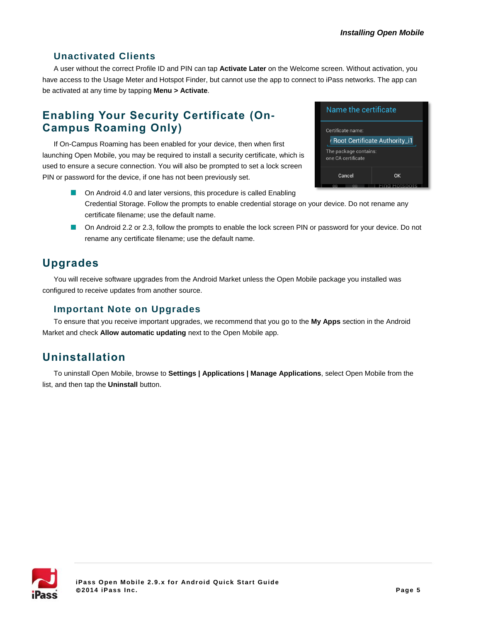### **Unactivated Clients**

A user without the correct Profile ID and PIN can tap **Activate Later** on the Welcome screen. Without activation, you have access to the Usage Meter and Hotspot Finder, but cannot use the app to connect to iPass networks. The app can be activated at any time by tapping **Menu > Activate**.

# **Enabling Your Security Certificate (On-Campus Roaming Only)**

If On-Campus Roaming has been enabled for your device, then when first launching Open Mobile, you may be required to install a security certificate, which is used to ensure a secure connection. You will also be prompted to set a lock screen PIN or password for the device, if one has not been previously set.



- On Android 4.0 and later versions, this procedure is called Enabling Credential Storage. Follow the prompts to enable credential storage on your device. Do not rename any certificate filename; use the default name.
- On Android 2.2 or 2.3, follow the prompts to enable the lock screen PIN or password for your device. Do not rename any certificate filename; use the default name.

# **Upgrades**

You will receive software upgrades from the Android Market unless the Open Mobile package you installed was configured to receive updates from another source.

### **Important Note on Upgrades**

To ensure that you receive important upgrades, we recommend that you go to the **My Apps** section in the Android Market and check **Allow automatic updating** next to the Open Mobile app.

# **Uninstallation**

To uninstall Open Mobile, browse to **Settings | Applications | Manage Applications**, select Open Mobile from the list, and then tap the **Uninstall** button.

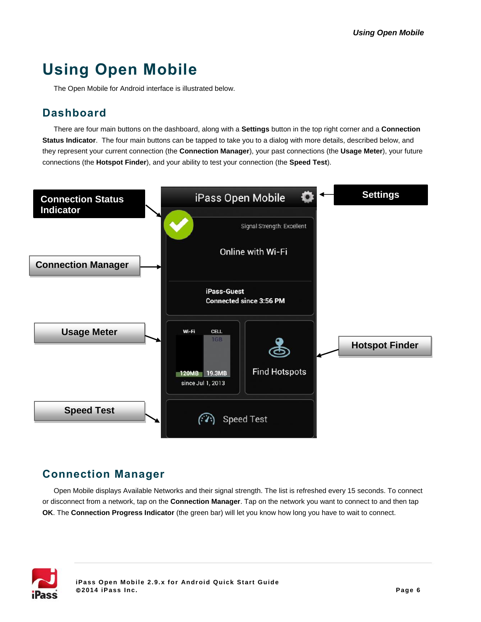# **Using Open Mobile**

The Open Mobile for Android interface is illustrated below.

## **Dashboard**

There are four main buttons on the dashboard, along with a **Settings** button in the top right corner and a **Connection Status Indicator**. The four main buttons can be tapped to take you to a dialog with more details, described below, and they represent your current connection (the **Connection Manager**), your past connections (the **Usage Meter**), your future connections (the **Hotspot Finder**), and your ability to test your connection (the **Speed Test**).



# **Connection Manager**

Open Mobile displays Available Networks and their signal strength. The list is refreshed every 15 seconds. To connect or disconnect from a network, tap on the **Connection Manager**. Tap on the network you want to connect to and then tap **OK**. The **Connection Progress Indicator** (the green bar) will let you know how long you have to wait to connect.

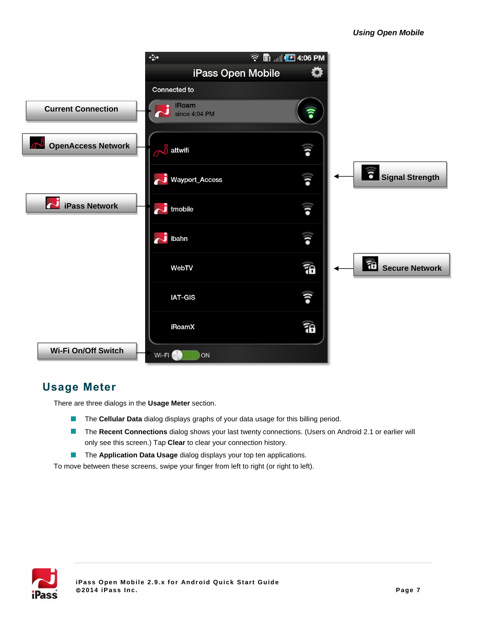

# **Usage Meter**

There are three dialogs in the **Usage Meter** section.

- The **Cellular Data** dialog displays graphs of your data usage for this billing period.  $\mathcal{L}_{\mathcal{A}}$
- The **Recent Connections** dialog shows your last twenty connections. (Users on Android 2.1 or earlier will only see this screen.) Tap **Clear** to clear your connection history.
- $\mathcal{L}_{\mathcal{A}}$ The **Application Data Usage** dialog displays your top ten applications.

To move between these screens, swipe your finger from left to right (or right to left).

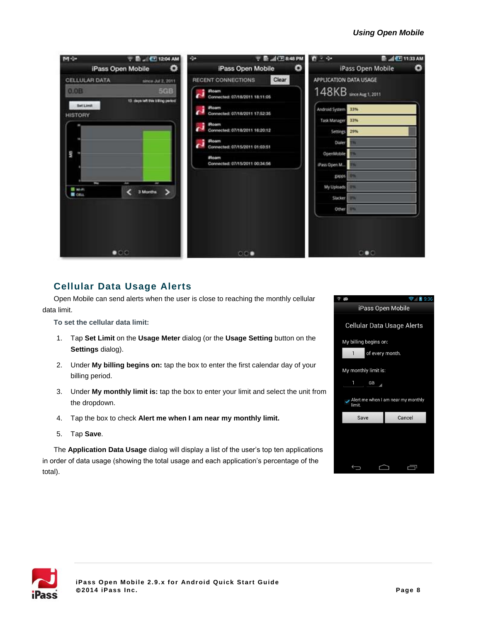#### *Using Open Mobile*



### <span id="page-7-0"></span>**Cellular Data Usage Alerts**

Open Mobile can send alerts when the user is close to reaching the monthly cellular data limit.

**To set the cellular data limit:**

- 1. Tap **Set Limit** on the **Usage Meter** dialog (or the **Usage Setting** button on the **Settings** dialog).
- 2. Under **My billing begins on:** tap the box to enter the first calendar day of your billing period.
- 3. Under **My monthly limit is:** tap the box to enter your limit and select the unit from the dropdown.
- 4. Tap the box to check **Alert me when I am near my monthly limit.**
- 5. Tap **Save**.

The **Application Data Usage** dialog will display a list of the user's top ten applications in order of data usage (showing the total usage and each application's percentage of the total).



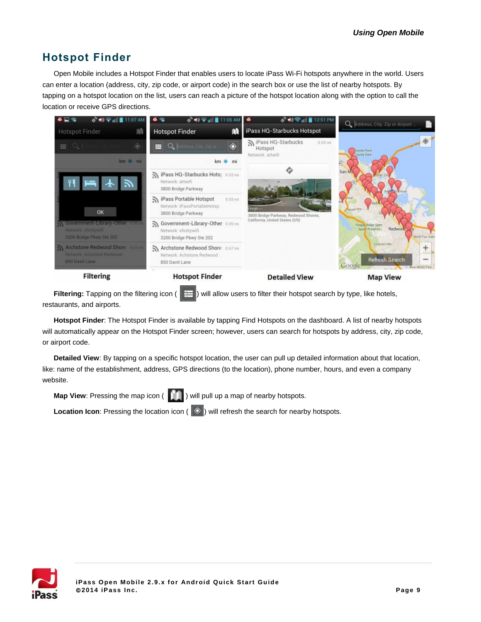# **Hotspot Finder**

<span id="page-8-0"></span>Open Mobile includes a Hotspot Finder that enables users to locate iPass Wi-Fi hotspots anywhere in the world. Users can enter a location (address, city, zip code, or airport code) in the search box or use the list of nearby hotspots. By tapping on a hotspot location on the list, users can reach a picture of the hotspot location along with the option to call the location or receive GPS directions.



**Filtering:** Tapping on the filtering icon ( $\left| \frac{1}{1} \right|$ ) will allow users to filter their hotspot search by type, like hotels, restaurants, and airports.

**Hotspot Finder**: The Hotspot Finder is available by tapping Find Hotspots on the dashboard. A list of nearby hotspots will automatically appear on the Hotspot Finder screen; however, users can search for hotspots by address, city, zip code, or airport code.

**Detailed View**: By tapping on a specific hotspot location, the user can pull up detailed information about that location, like: name of the establishment, address, GPS directions (to the location), phone number, hours, and even a company website.

**Map View**: Pressing the map icon ( ) will pull up a map of nearby hotspots.

**Location Icon**: Pressing the location icon (  $\Diamond$  ) will refresh the search for nearby hotspots.

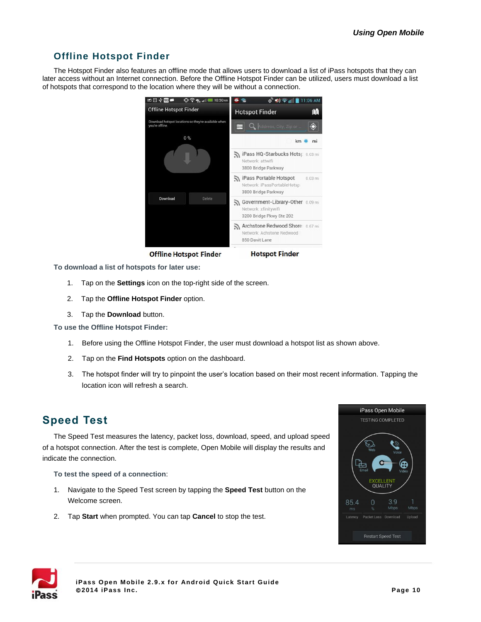### **Offline Hotspot Finder**

The Hotspot Finder also features an offline mode that allows users to download a list of iPass hotspots that they can later access without an Internet connection. Before the Offline Hotspot Finder can be utilized, users must download a list of hotspots that correspond to the location where they will be without a connection.



**Offline Hotspot Finder** 

**Hotspot Finder** 

**To download a list of hotspots for later use:**

- 1. Tap on the **Settings** icon on the top-right side of the screen.
- 2. Tap the **Offline Hotspot Finder** option.
- 3. Tap the **Download** button.

**To use the Offline Hotspot Finder:**

- 1. Before using the Offline Hotspot Finder, the user must download a hotspot list as shown above.
- 2. Tap on the **Find Hotspots** option on the dashboard.
- 3. The hotspot finder will try to pinpoint the user's location based on their most recent information. Tapping the location icon will refresh a search.

# **Speed Test**

The Speed Test measures the latency, packet loss, download, speed, and upload speed of a hotspot connection. After the test is complete, Open Mobile will display the results and indicate the connection.

**To test the speed of a connection**:

- 1. Navigate to the Speed Test screen by tapping the **Speed Test** button on the Welcome screen.
- 2. Tap **Start** when prompted. You can tap **Cancel** to stop the test.



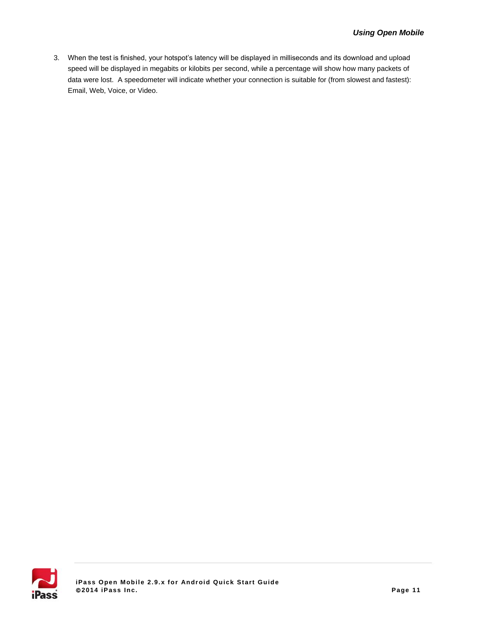3. When the test is finished, your hotspot's latency will be displayed in milliseconds and its download and upload speed will be displayed in megabits or kilobits per second, while a percentage will show how many packets of data were lost. A speedometer will indicate whether your connection is suitable for (from slowest and fastest): Email, Web, Voice, or Video.

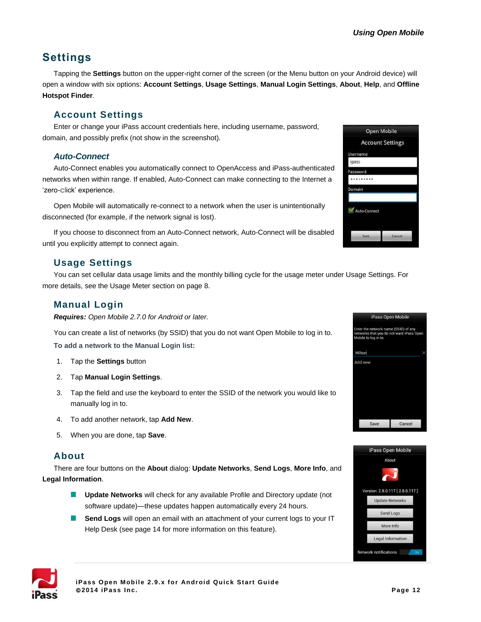# **Settings**

Tapping the **Settings** button on the upper-right corner of the screen (or the Menu button on your Android device) will open a window with six options: **Account Settings**, **Usage Settings**, **Manual Login Settings**, **About**, **Help**, and **Offline Hotspot Finder**.

### **Account Settings**

Enter or change your iPass account credentials here, including username, password, domain, and possibly prefix (not show in the screenshot).

#### *Auto-Connect*

Auto-Connect enables you automatically connect to OpenAccess and iPass-authenticated networks when within range. If enabled, Auto-Connect can make connecting to the Internet a 'zero-click' experience.

Open Mobile will automatically re-connect to a network when the user is unintentionally disconnected (for example, if the network signal is lost).

If you choose to disconnect from an Auto-Connect network, Auto-Connect will be disabled until you explicitly attempt to connect again.

## **Usage Settings**

You can set cellular data usage limits and the monthly billing cycle for the usage meter under Usage Settings. For more details, see the Usage Meter section on page [8.](#page-7-0)

## **Manual Login**

*Requires: Open Mobile 2.7.0 for Android or later.*

You can create a list of networks (by SSID) that you do not want Open Mobile to log in to. **To add a network to the Manual Login list:**

- 1. Tap the **Settings** button
- 2. Tap **Manual Login Settings**.
- 3. Tap the field and use the keyboard to enter the SSID of the network you would like to manually log in to.
- 4. To add another network, tap **Add New**.
- 5. When you are done, tap **Save**.

### **About**

There are four buttons on the **About** dialog: **Update Networks**, **Send Logs**, **More Info**, and **Legal Information**.

- **Update Networks** will check for any available Profile and Directory update (not **The State** software update)—these updates happen automatically every 24 hours.
- **Send Logs** will open an email with an attachment of your current logs to your IT Help Desk (see pag[e 14](#page-13-0) for more information on this feature).







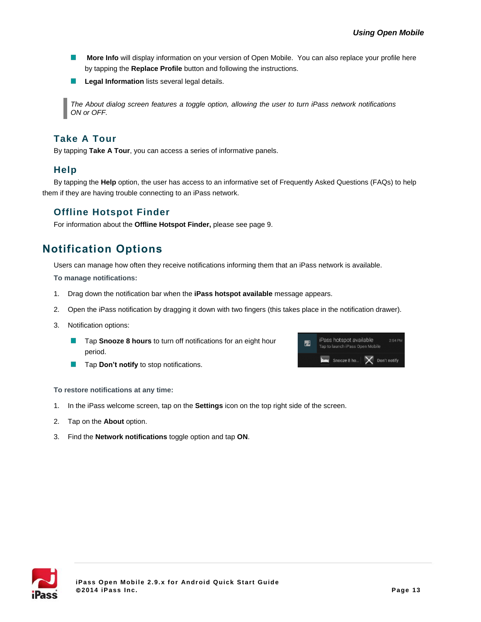- $\mathcal{L}_{\mathcal{A}}$ **More Info** will display information on your version of Open Mobile. You can also replace your profile here by tapping the **Replace Profile** button and following the instructions.
- **Legal Information** lists several legal details.  $\mathcal{A}$

*The About dialog screen features a toggle option, allowing the user to turn iPass network notifications ON or OFF.* 

### **Take A Tour**

By tapping **Take A Tour**, you can access a series of informative panels.

#### **Help**

By tapping the **Help** option, the user has access to an informative set of Frequently Asked Questions (FAQs) to help them if they are having trouble connecting to an iPass network.

### **Offline Hotspot Finder**

For information about the **Offline Hotspot Finder,** please see page [9.](#page-8-0)

# **Notification Options**

Users can manage how often they receive notifications informing them that an iPass network is available. **To manage notifications:** 

- 1. Drag down the notification bar when the **iPass hotspot available** message appears.
- 2. Open the iPass notification by dragging it down with two fingers (this takes place in the notification drawer).
- 3. Notification options:
	- **Tap Snooze 8 hours** to turn off notifications for an eight hour period.
	- Tap **Don't notify** to stop notifications. ×



**To restore notifications at any time:**

- 1. In the iPass welcome screen, tap on the **Settings** icon on the top right side of the screen.
- 2. Tap on the **About** option.
- 3. Find the **Network notifications** toggle option and tap **ON**.

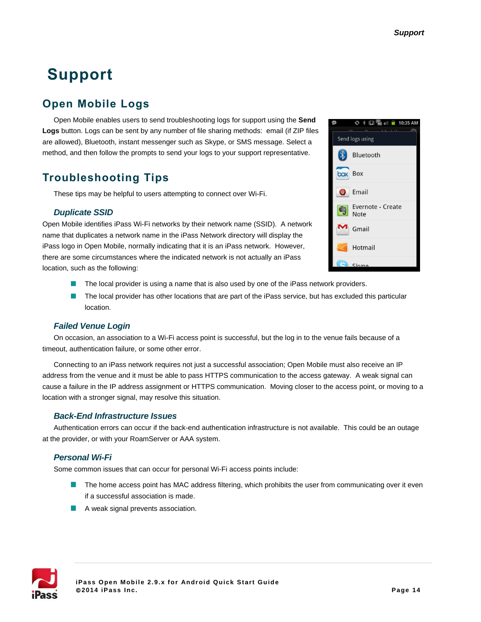# **Support**

# <span id="page-13-0"></span>**Open Mobile Logs**

Open Mobile enables users to send troubleshooting logs for support using the **Send Logs** button. Logs can be sent by any number of file sharing methods: email (if ZIP files are allowed), Bluetooth, instant messenger such as Skype, or SMS message. Select a method, and then follow the prompts to send your logs to your support representative.

# **Troubleshooting Tips**

These tips may be helpful to users attempting to connect over Wi-Fi.

#### *Duplicate SSID*

Open Mobile identifies iPass Wi-Fi networks by their network name (SSID). A network name that duplicates a network name in the iPass Network directory will display the iPass logo in Open Mobile, normally indicating that it is an iPass network. However, there are some circumstances where the indicated network is not actually an iPass location, such as the following:



- The local provider is using a name that is also used by one of the iPass network providers.
- m. The local provider has other locations that are part of the iPass service, but has excluded this particular location.

#### *Failed Venue Login*

On occasion, an association to a Wi-Fi access point is successful, but the log in to the venue fails because of a timeout, authentication failure, or some other error.

Connecting to an iPass network requires not just a successful association; Open Mobile must also receive an IP address from the venue and it must be able to pass HTTPS communication to the access gateway. A weak signal can cause a failure in the IP address assignment or HTTPS communication. Moving closer to the access point, or moving to a location with a stronger signal, may resolve this situation.

#### *Back-End Infrastructure Issues*

Authentication errors can occur if the back-end authentication infrastructure is not available. This could be an outage at the provider, or with your RoamServer or AAA system.

#### *Personal Wi-Fi*

Some common issues that can occur for personal Wi-Fi access points include:

- **The home access point has MAC address filtering, which prohibits the user from communicating over it even** if a successful association is made.
- A weak signal prevents association.